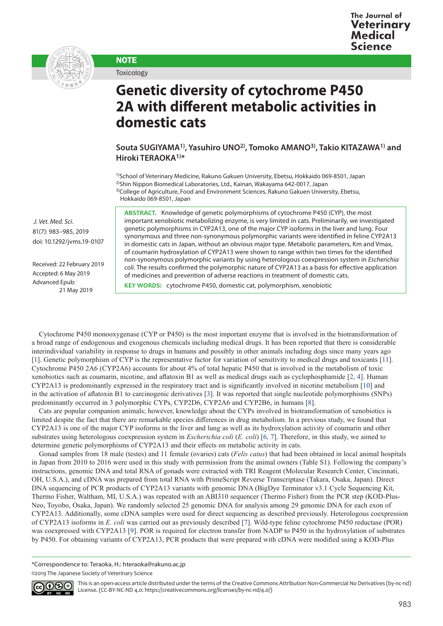

**NOTE** 

Toxicology

## **Genetic diversity of cytochrome P450 2A with different metabolic activities in domestic cats**

**Souta SUGIYAMA1), Yasuhiro UNO2), Tomoko AMANO3), Takio KITAZAWA1) and Hiroki TERAOKA1)\***

<sup>1)</sup>School of Veterinary Medicine, Rakuno Gakuen University, Ebetsu, Hokkaido 069-8501, Japan 2)Shin Nippon Biomedical Laboratories, Ltd., Kainan, Wakayama 642-0017, Japan <sup>3)</sup>College of Agriculture, Food and Environment Sciences, Rakuno Gakuen University, Ebetsu, Hokkaido 069-8501, Japan

**ABSTRACT.** Knowledge of genetic polymorphisms of cytochrome P450 (CYP), the most important xenobiotic metabolizing enzyme, is very limited in cats. Preliminarily, we investigated genetic polymorphisms in CYP2A13, one of the major CYP isoforms in the liver and lung. Four synonymous and three non-synonymous polymorphic variants were identified in feline CYP2A13 in domestic cats in Japan, without an obvious major type. Metabolic parameters, Km and Vmax, of coumarin hydroxylation of CYP2A13 were shown to range within two times for the identified non-synonymous polymorphic variants by using heterologous coexpression system in *Escherichia coli*. The results confirmed the polymorphic nature of CYP2A13 as a basis for effective application of medicines and prevention of adverse reactions in treatment of domestic cats.

**KEY WORDS:** cytochrome P450, domestic cat, polymorphism, xenobiotic

Cytochrome P450 monooxygenase (CYP or P450) is the most important enzyme that is involved in the biotransformation of a broad range of endogenous and exogenous chemicals including medical drugs. It has been reported that there is considerable interindividual variability in response to drugs in humans and possibly in other animals including dogs since many years ago [[1\]](#page-2-0). Genetic polymorphism of CYP is the representative factor for variation of sensitivity to medical drugs and toxicants [[11\]](#page-2-1). Cytochrome P450 2A6 (CYP2A6) accounts for about 4% of total hepatic P450 that is involved in the metabolism of toxic xenobiotics such as coumarin, nicotine, and aflatoxin B1 as well as medical drugs such as cyclophosphamide [[2, 4\]](#page-2-2). Human CYP2A13 is predominantly expressed in the respiratory tract and is significantly involved in nicotine metabolism [[10](#page-2-3)] and in the activation of aflatoxin B1 to carcinogenic derivatives [[3](#page-2-4)]. It was reported that single nucleotide polymorphisms (SNPs) predominantly occurred in 3 polymorphic CYPs, CYP2D6, CYP2A6 and CYP2B6, in humans [[8\]](#page-2-5).

Cats are popular companion animals; however, knowledge about the CYPs involved in biotransformation of xenobiotics is limited despite the fact that there are remarkable species differences in drug metabolism. In a previous study, we found that CYP2A13 is one of the major CYP isoforms in the liver and lung as well as its hydroxylation activity of coumarin and other substrates using heterologous coexpression system in *Escherichia coli* (*E. coli*) [[6, 7](#page-2-6)]. Therefore, in this study, we aimed to determine genetic polymorphisms of CYP2A13 and their effects on metabolic activity in cats.

Gonad samples from 18 male (testes) and 11 female (ovaries) cats (*Felis catus*) that had been obtained in local animal hospitals in Japan from 2010 to 2016 were used in this study with permission from the animal owners (Table S1). Following the company's instructions, genomic DNA and total RNA of gonads were extracted with TRI Reagent (Molecular Research Center, Cincinnati, OH, U.S.A.), and cDNA was prepared from total RNA with PrimeScript Reverse Transcriptase (Takara, Osaka, Japan). Direct DNA sequencing of PCR products of CYP2A13 variants with genomic DNA (BigDye Terminator v3.1 Cycle Sequencing Kit, Thermo Fisher, Waltham, MI, U.S.A.) was repeated with an ABI310 sequencer (Thermo Fisher) from the PCR step (KOD-Plus-Neo, Toyobo, Osaka, Japan). We randomly selected 25 genomic DNA for analysis among 29 genomic DNA for each exon of CYP2A13. Additionally, some cDNA samples were used for direct sequencing as described previously. Heterologous coexpression of CYP2A13 isoforms in *E. coli* was carried out as previously described [[7](#page-2-7)]. Wild-type feline cytochrome P450 reductase (POR) was coexpressed with CYP2A13 [\[9\]](#page-2-8). POR is required for electron transfer from NADP to P450 in the hydroxylation of substrates by P450. For obtaining variants of CYP2A13, PCR products that were prepared with cDNA were modified using a KOD-Plus

\*Correspondence to: Teraoka, H.: hteraoka@rakuno.ac.jp

©2019 The Japanese Society of Veterinary Science



This is an open-access article distributed under the terms of the Creative Commons Attribution Non-Commercial No Derivatives (by-nc-nd) License. (CC-BY-NC-ND 4.0: <https://creativecommons.org/licenses/by-nc-nd/4.0/>)

 *J. Vet. Med. Sci.*  81(7): 983–985, 2019 doi: 10.1292/jvms.19-0107

Received: 22 February 2019 Accepted: 6 May 2019 Advanced Epub: 21 May 2019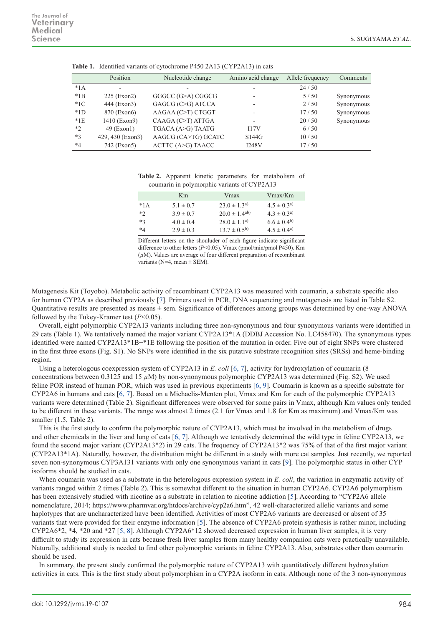|         | Position         | Nucleotide change   | Amino acid change        | Allele frequency | Comments   |
|---------|------------------|---------------------|--------------------------|------------------|------------|
| $*1A$   |                  |                     | $\overline{\phantom{0}}$ | 24/50            |            |
| $*1B$   | $225$ (Exon2)    | GGGCC (G>A) CGGCG   | ٠                        | 5/50             | Synonymous |
| $*1C$   | 444 (Exon3)      | GAGCG (C>G) ATCCA   | $\overline{\phantom{a}}$ | 2/50             | Synonymous |
| $*1D$   | 870 (Exon6)      | AAGAA (C>T) CTGGT   | $\overline{\phantom{a}}$ | 17/50            | Synonymous |
| $*1E$   | 1410 (Exon9)     | CAAGA (C>T) ATTGA   | $\overline{\phantom{a}}$ | 20/50            | Synonymous |
| $*2$    | $49$ (Exon1)     | TGACA (A>G) TAATG   | 117V                     | 6/50             |            |
| $*3$    | 429, 430 (Exon3) | AAGCG (CA>TG) GCATC | S144G                    | 10/50            |            |
| $*_{4}$ | 742 (Exon5)      | ACTTC (A>G) TAACC   | <b>I248V</b>             | 17/50            |            |

**Table 1.** Identified variants of cytochrome P450 2A13 (CYP2A13) in cats

**Table 2.** Apparent kinetic parameters for metabolism of coumarin in polymorphic variants of CYP2A13

|         | Km            | Vmax                | $V$ max/ $K$ m    |
|---------|---------------|---------------------|-------------------|
| $*1A$   | $5.1 \pm 0.7$ | $23.0 \pm 1.3^{a}$  | $4.5 \pm 0.3^{a}$ |
| $*2$    | $3.9 \pm 0.7$ | $20.0 \pm 1.4^{ab}$ | $4.3 \pm 0.3^{a}$ |
| $*3$    | $4.0 \pm 0.4$ | $28.0 \pm 1.1^{a}$  | $6.6 \pm 0.4^{b}$ |
| $*_{4}$ | $2.9 \pm 0.3$ | $13.7 \pm 0.5^{b}$  | $4.5 \pm 0.4^{a}$ |

Different letters on the shouluder of each figure indicate significant difference to other letters (*P*<0.05). Vmax (pmol/min/pmol P450). Km (*µ*M). Values are average of four different preparation of recombinant variants ( $N=4$ , mean  $\pm$  SEM).

Mutagenesis Kit (Toyobo). Metabolic activity of recombinant CYP2A13 was measured with coumarin, a substrate specific also for human CYP2A as described previously [[7](#page-2-7)]. Primers used in PCR, DNA sequencing and mutagenesis are listed in Table S2. Quantitative results are presented as means  $\pm$  sem. Significance of differences among groups was determined by one-way ANOVA followed by the Tukey-Kramer test (*P*<0.05).

Overall, eight polymorphic CYP2A13 variants including three non-synonymous and four synonymous variants were identified in 29 cats (Table 1). We tentatively named the major variant CYP2A13\*1A (DDBJ Accession No. LC458470). The synonymous types identified were named CYP2A13\*1B−\*1E following the position of the mutation in order. Five out of eight SNPs were clustered in the first three exons (Fig. S1). No SNPs were identified in the six putative substrate recognition sites (SRSs) and heme-binding region.

Using a heterologous coexpression system of CYP2A13 in *E. coli* [[6, 7](#page-2-6)], activity for hydroxylation of coumarin (8 concentrations between 0.3125 and 15 *µ*M) by non-synonymous polymorphic CYP2A13 was determined (Fig. S2). We used feline POR instead of human POR, which was used in previous experiments [[6, 9](#page-2-6)]. Coumarin is known as a specific substrate for CYP2A6 in humans and cats [\[6, 7](#page-2-6)]. Based on a Michaelis-Menten plot, Vmax and Km for each of the polymorphic CYP2A13 variants were determined (Table 2). Significant differences were observed for some pairs in Vmax, although Km values only tended to be different in these variants. The range was almost 2 times (2.1 for Vmax and 1.8 for Km as maximum) and Vmax/Km was smaller (1.5, Table 2).

This is the first study to confirm the polymorphic nature of CYP2A13, which must be involved in the metabolism of drugs and other chemicals in the liver and lung of cats [[6, 7](#page-2-6)]. Although we tentatively determined the wild type in feline CYP2A13, we found the second major variant (CYP2A13\*2) in 29 cats. The frequency of CYP2A13\*2 was 75% of that of the first major variant (CYP2A13\*1A). Naturally, however, the distribution might be different in a study with more cat samples. Just recently, we reported seven non-synonymous CYP3A131 variants with only one synonymous variant in cats [\[9](#page-2-8)]. The polymorphic status in other CYP isoforms should be studied in cats.

When coumarin was used as a substrate in the heterologous expression system in *E. coli*, the variation in enzymatic activity of variants ranged within 2 times (Table 2). This is somewhat different to the situation in human CYP2A6. CYP2A6 polymorphism has been extensively studied with nicotine as a substrate in relation to nicotine addiction [[5\]](#page-2-9). According to "CYP2A6 allele nomenclature, 2014; https://www.pharmvar.org/htdocs/archive/cyp2a6.htm", 42 well-characterized allelic variants and some haplotypes that are uncharacterized have been identified. Activities of most CYP2A6 variants are decreased or absent of 35 variants that were provided for their enzyme information [[5](#page-2-9)]. The absence of CYP2A6 protein synthesis is rather minor, including CYP2A6\*2, \*4, \*20 and \*27 [[5, 8](#page-2-9)]. Although CYP2A6\*12 showed decreased expression in human liver samples, it is very difficult to study its expression in cats because fresh liver samples from many healthy companion cats were practically unavailable. Naturally, additional study is needed to find other polymorphic variants in feline CYP2A13. Also, substrates other than coumarin should be used.

In summary, the present study confirmed the polymorphic nature of CYP2A13 with quantitatively different hydroxylation activities in cats. This is the first study about polymorphism in a CYP2A isoform in cats. Although none of the 3 non-synonymous